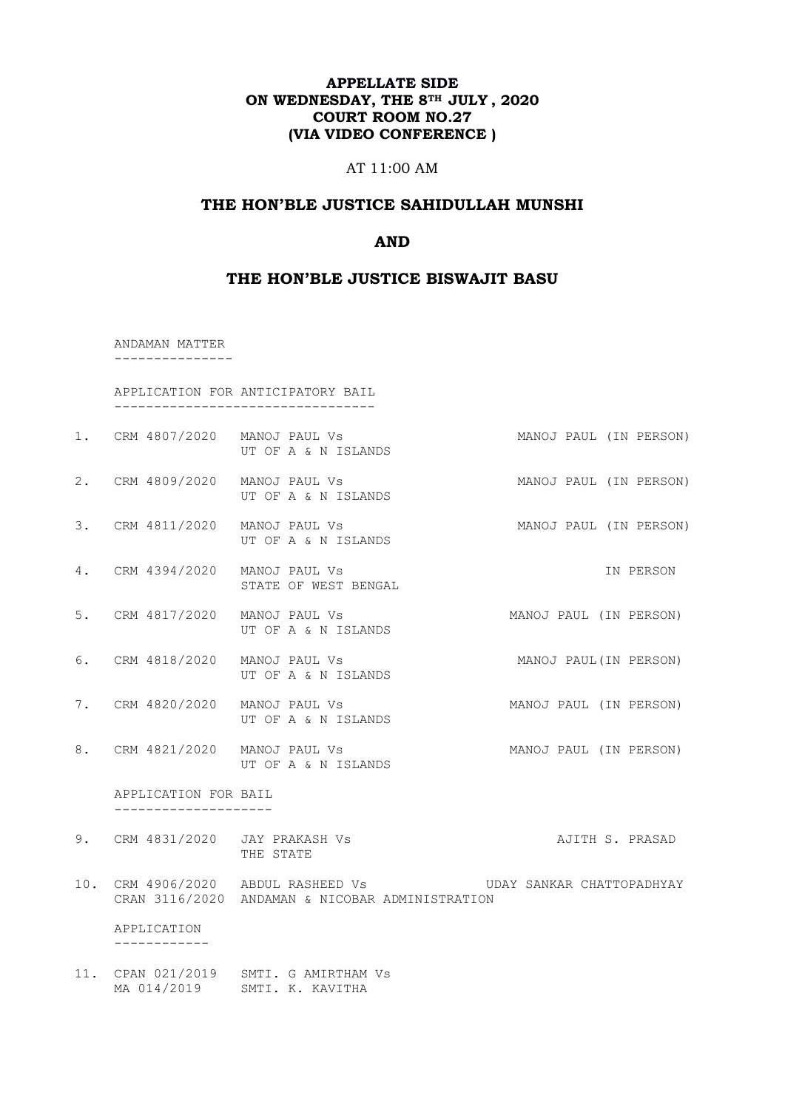# **APPELLATE SIDE ON WEDNESDAY, THE 8TH JULY , 2020 COURT ROOM NO.27 (VIA VIDEO CONFERENCE )**

### AT 11:00 AM

# **THE HON'BLE JUSTICE SAHIDULLAH MUNSHI**

# **AND**

#### **THE HON'BLE JUSTICE BISWAJIT BASU**

 ANDAMAN MATTER ---------------

 APPLICATION FOR ANTICIPATORY BAIL ---------------------------------

- 1. CRM 4807/2020 MANOJ PAUL Vs MANOJ PAUL (IN PERSON) UT OF A & N ISLANDS
- 2. CRM 4809/2020 MANOJ PAUL Vs MANOJ PAUL (IN PERSON) UT OF A & N ISLANDS
- 3. CRM 4811/2020 MANOJ PAUL Vs MANOJ PAUL (IN PERSON) UT OF A & N ISLANDS
- 4. CRM 4394/2020 MANOJ PAUL Vs IN PERSON STATE OF WEST BENGAL
- 5. CRM 4817/2020 MANOJ PAUL Vs MANOJ PAUL (IN PERSON) UT OF A & N ISLANDS
- 6. CRM 4818/2020 MANOJ PAUL Vs MANOJ PAUL(IN PERSON) UT OF A & N ISLANDS
- 7. CRM 4820/2020 MANOJ PAUL Vs MANOJ PAUL (IN PERSON) UT OF A & N ISLANDS
- 8. CRM 4821/2020 MANOJ PAUL Vs MANOJ PAUL (IN PERSON) UT OF A & N ISLANDS

 APPLICATION FOR BAIL --------------------

- 9. CRM 4831/2020 JAY PRAKASH Vs AJITH S. PRASAD THE STATE
- 10. CRM 4906/2020 ABDUL RASHEED Vs UDAY SANKAR CHATTOPADHYAY CRAN 3116/2020 ANDAMAN & NICOBAR ADMINISTRATION

 APPLICATION ------------

11. CPAN 021/2019 SMTI. G AMIRTHAM Vs MA 014/2019 SMTI. K. KAVITHA